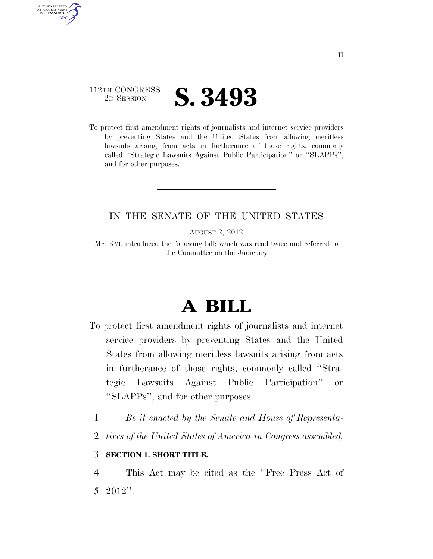

AUTHENTICATED U.S. GOVERNMENT **GPO** 

> To protect first amendment rights of journalists and internet service providers by preventing States and the United States from allowing meritless lawsuits arising from acts in furtherance of those rights, commonly called ''Strategic Lawsuits Against Public Participation'' or ''SLAPPs'', and for other purposes.

## IN THE SENATE OF THE UNITED STATES

AUGUST 2, 2012

Mr. KYL introduced the following bill; which was read twice and referred to the Committee on the Judiciary

# **A BILL**

- To protect first amendment rights of journalists and internet service providers by preventing States and the United States from allowing meritless lawsuits arising from acts in furtherance of those rights, commonly called ''Strategic Lawsuits Against Public Participation'' or ''SLAPPs'', and for other purposes.
	- 1 *Be it enacted by the Senate and House of Representa-*
	- 2 *tives of the United States of America in Congress assembled,*

#### 3 **SECTION 1. SHORT TITLE.**

4 This Act may be cited as the ''Free Press Act of 5 2012''.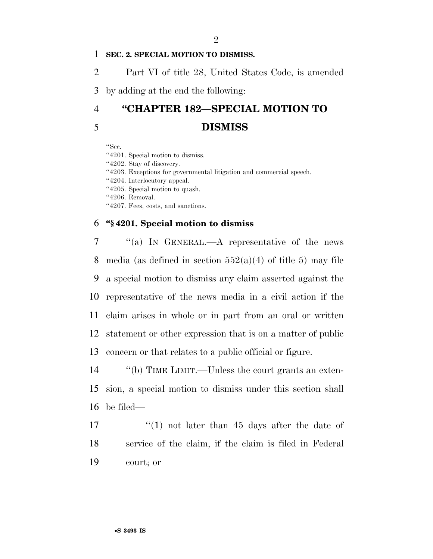#### 1 **SEC. 2. SPECIAL MOTION TO DISMISS.**

2 Part VI of title 28, United States Code, is amended

3 by adding at the end the following:

# 4 **''CHAPTER 182—SPECIAL MOTION TO**  5 **DISMISS**

''Sec.

''4201. Special motion to dismiss.

''4202. Stay of discovery.

''4203. Exceptions for governmental litigation and commercial speech.

''4204. Interlocutory appeal.

''4205. Special motion to quash.

''4206. Removal.

''4207. Fees, costs, and sanctions.

#### 6 **''§ 4201. Special motion to dismiss**

 ''(a) IN GENERAL.—A representative of the news 8 media (as defined in section  $552(a)(4)$  of title 5) may file a special motion to dismiss any claim asserted against the representative of the news media in a civil action if the claim arises in whole or in part from an oral or written statement or other expression that is on a matter of public concern or that relates to a public official or figure.

14 ''(b) TIME LIMIT.—Unless the court grants an exten-15 sion, a special motion to dismiss under this section shall 16 be filed—

17  $\frac{17}{2}$   $\frac{17}{2}$  not later than 45 days after the date of 18 service of the claim, if the claim is filed in Federal 19 court; or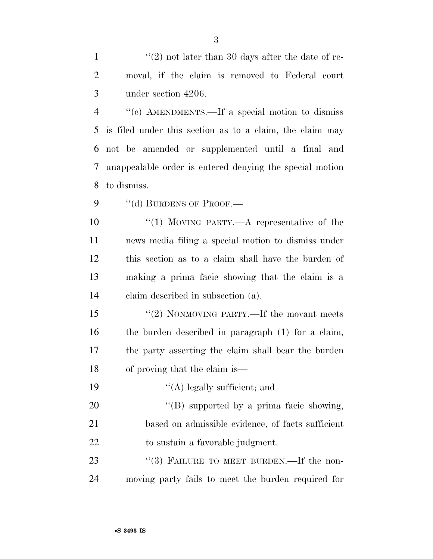''(c) AMENDMENTS.—If a special motion to dismiss is filed under this section as to a claim, the claim may not be amended or supplemented until a final and unappealable order is entered denying the special motion to dismiss.

9 "(d) BURDENS OF PROOF.—

 $\frac{10}{10}$  MOVING PARTY.—A representative of the news media filing a special motion to dismiss under this section as to a claim shall have the burden of making a prima facie showing that the claim is a claim described in subsection (a).

15 "(2) NONMOVING PARTY.—If the movant meets the burden described in paragraph (1) for a claim, the party asserting the claim shall bear the burden of proving that the claim is—

| 20   | $\lq\lq(B)$ supported by a prima facie showing,   |
|------|---------------------------------------------------|
| 21   | based on admissible evidence, of facts sufficient |
| -22. | to sustain a favorable judgment.                  |

19  $\frac{1}{2}$  (A) legally sufficient; and

23 "(3) FAILURE TO MEET BURDEN.—If the non-moving party fails to meet the burden required for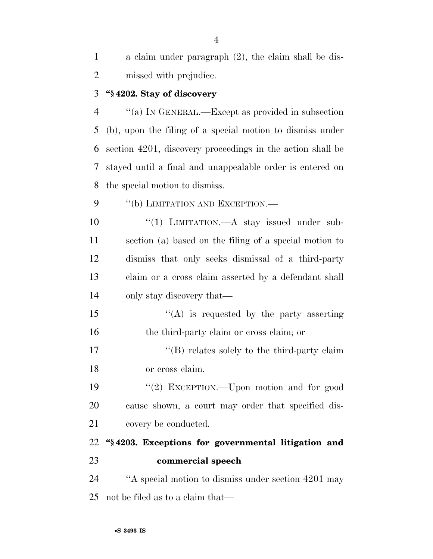| a claim under paragraph (2), the claim shall be dis- |
|------------------------------------------------------|
| missed with prejudice.                               |

#### **''§ 4202. Stay of discovery**

 ''(a) IN GENERAL.—Except as provided in subsection (b), upon the filing of a special motion to dismiss under section 4201, discovery proceedings in the action shall be stayed until a final and unappealable order is entered on the special motion to dismiss.

9 "(b) LIMITATION AND EXCEPTION.—

 $\frac{10}{10}$  LIMITATION.—A stay issued under sub- section (a) based on the filing of a special motion to dismiss that only seeks dismissal of a third-party claim or a cross claim asserted by a defendant shall only stay discovery that—

15  $"({\rm A})$  is requested by the party asserting the third-party claim or cross claim; or

17  $\langle G \rangle$  relates solely to the third-party claim or cross claim.

 ''(2) EXCEPTION.—Upon motion and for good cause shown, a court may order that specified dis-21 covery be conducted.

 **''§ 4203. Exceptions for governmental litigation and commercial speech** 

24 "A special motion to dismiss under section 4201 may not be filed as to a claim that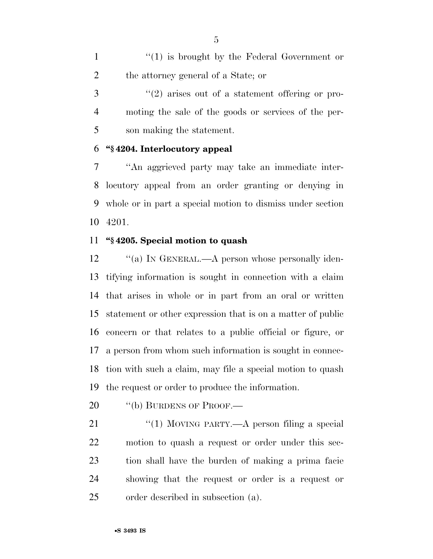1 ''(1) is brought by the Federal Government or the attorney general of a State; or

3 (2) arises out of a statement offering or pro- moting the sale of the goods or services of the per-son making the statement.

# **''§ 4204. Interlocutory appeal**

 ''An aggrieved party may take an immediate inter- locutory appeal from an order granting or denying in whole or in part a special motion to dismiss under section 4201.

# **''§ 4205. Special motion to quash**

12 "(a) IN GENERAL.—A person whose personally iden- tifying information is sought in connection with a claim that arises in whole or in part from an oral or written statement or other expression that is on a matter of public concern or that relates to a public official or figure, or a person from whom such information is sought in connec- tion with such a claim, may file a special motion to quash the request or order to produce the information.

20 "(b) BURDENS OF PROOF.—

21 "(1) MOVING PARTY.—A person filing a special motion to quash a request or order under this sec- tion shall have the burden of making a prima facie showing that the request or order is a request or order described in subsection (a).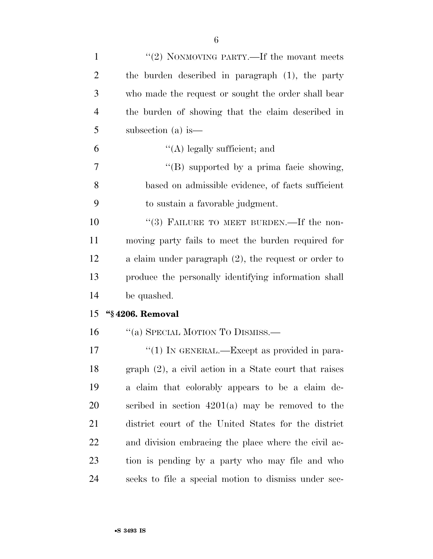| $\mathbf{1}$   | "(2) NONMOVING PARTY.—If the movant meets               |
|----------------|---------------------------------------------------------|
| $\overline{2}$ | the burden described in paragraph (1), the party        |
| 3              | who made the request or sought the order shall bear     |
| $\overline{4}$ | the burden of showing that the claim described in       |
| 5              | subsection (a) is $-$                                   |
| 6              | $\lq\lq$ (A) legally sufficient; and                    |
| 7              | $\lq\lq$ supported by a prima facie showing,            |
| 8              | based on admissible evidence, of facts sufficient       |
| 9              | to sustain a favorable judgment.                        |
| 10             | "(3) FAILURE TO MEET BURDEN.—If the non-                |
| 11             | moving party fails to meet the burden required for      |
| 12             | a claim under paragraph $(2)$ , the request or order to |
| 13             | produce the personally identifying information shall    |
| 14             | be quashed.                                             |
| 15             | "§4206. Removal                                         |
| 16             | "(a) SPECIAL MOTION TO DISMISS.—                        |
| 17             | "(1) IN GENERAL.—Except as provided in para-            |
| 18             | graph (2), a civil action in a State court that raises  |
| 19             | a claim that colorably appears to be a claim de-        |
| 20             | scribed in section $4201(a)$ may be removed to the      |
| 21             | district court of the United States for the district    |
| 22             | and division embracing the place where the civil ac-    |
| 23             | tion is pending by a party who may file and who         |
| 24             |                                                         |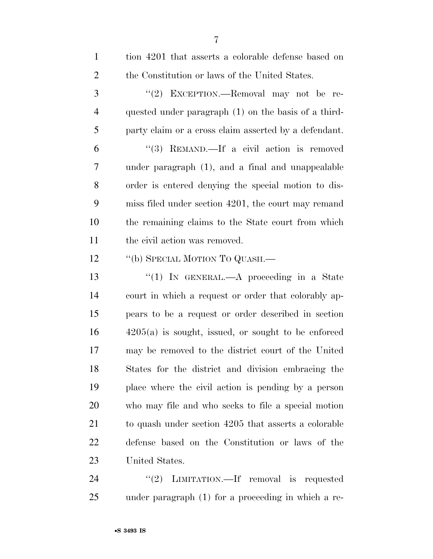| $\mathbf{1}$   | tion 4201 that asserts a colorable defense based on   |
|----------------|-------------------------------------------------------|
| $\overline{2}$ | the Constitution or laws of the United States.        |
| 3              | "(2) EXCEPTION.—Removal may not be re-                |
| $\overline{4}$ | quested under paragraph (1) on the basis of a third-  |
| 5              | party claim or a cross claim asserted by a defendant. |
| 6              | "(3) REMAND.—If a civil action is removed             |
| 7              | under paragraph (1), and a final and unappealable     |
| 8              | order is entered denying the special motion to dis-   |
| 9              | miss filed under section 4201, the court may remand   |
| 10             | the remaining claims to the State court from which    |
| 11             | the civil action was removed.                         |
| 12             | "(b) SPECIAL MOTION TO QUASH.—                        |
| 13             | "(1) IN GENERAL.—A proceeding in a State              |
| 14             | court in which a request or order that colorably ap-  |
| 15             | pears to be a request or order described in section   |
| 16             | $4205(a)$ is sought, issued, or sought to be enforced |
| 17             | may be removed to the district court of the United    |
| 18             | States for the district and division embracing the    |
|                |                                                       |
| 19             | place where the civil action is pending by a person   |
| 20             | who may file and who seeks to file a special motion   |
| 21             | to quash under section 4205 that asserts a colorable  |
| 22             | defense based on the Constitution or laws of the      |
| 23             | United States.                                        |

under paragraph (1) for a proceeding in which a re-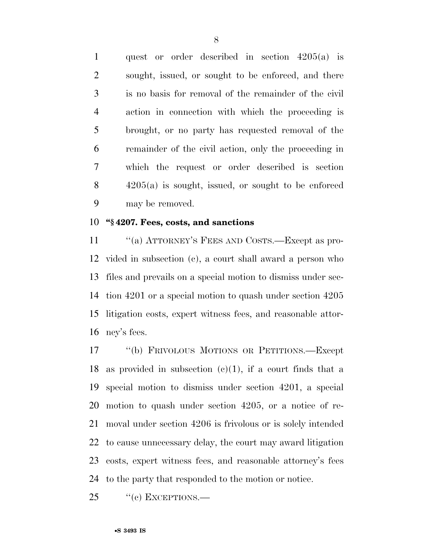quest or order described in section 4205(a) is sought, issued, or sought to be enforced, and there is no basis for removal of the remainder of the civil action in connection with which the proceeding is brought, or no party has requested removal of the remainder of the civil action, only the proceeding in which the request or order described is section 4205(a) is sought, issued, or sought to be enforced may be removed.

# **''§ 4207. Fees, costs, and sanctions**

11 "(a) ATTORNEY'S FEES AND COSTS.—Except as pro- vided in subsection (c), a court shall award a person who files and prevails on a special motion to dismiss under sec- tion 4201 or a special motion to quash under section 4205 litigation costs, expert witness fees, and reasonable attor-ney's fees.

 ''(b) FRIVOLOUS MOTIONS OR PETITIONS.—Except 18 as provided in subsection  $(e)(1)$ , if a court finds that a special motion to dismiss under section 4201, a special motion to quash under section 4205, or a notice of re- moval under section 4206 is frivolous or is solely intended to cause unnecessary delay, the court may award litigation costs, expert witness fees, and reasonable attorney's fees to the party that responded to the motion or notice.

25 "(c) EXCEPTIONS.—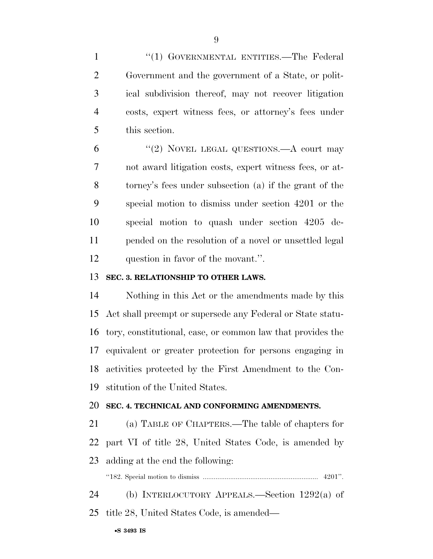1 "(1) GOVERNMENTAL ENTITIES.—The Federal Government and the government of a State, or polit- ical subdivision thereof, may not recover litigation costs, expert witness fees, or attorney's fees under this section.

6 "(2) NOVEL LEGAL QUESTIONS.—A court may not award litigation costs, expert witness fees, or at- torney's fees under subsection (a) if the grant of the special motion to dismiss under section 4201 or the special motion to quash under section 4205 de- pended on the resolution of a novel or unsettled legal question in favor of the movant.''.

# **SEC. 3. RELATIONSHIP TO OTHER LAWS.**

 Nothing in this Act or the amendments made by this Act shall preempt or supersede any Federal or State statu- tory, constitutional, case, or common law that provides the equivalent or greater protection for persons engaging in activities protected by the First Amendment to the Con-stitution of the United States.

#### **SEC. 4. TECHNICAL AND CONFORMING AMENDMENTS.**

 (a) TABLE OF CHAPTERS.—The table of chapters for part VI of title 28, United States Code, is amended by adding at the end the following:

''182. Special motion to dismiss ............................................................... 4201''.

 (b) INTERLOCUTORY APPEALS.—Section 1292(a) of title 28, United States Code, is amended—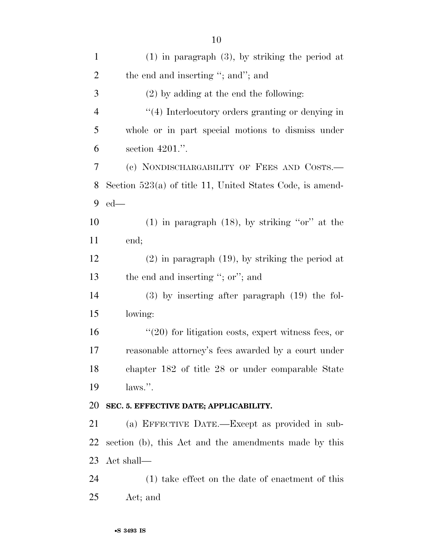| $\mathbf{1}$   | $(1)$ in paragraph $(3)$ , by striking the period at        |
|----------------|-------------------------------------------------------------|
| $\mathbf{2}$   | the end and inserting "; and"; and                          |
| 3              | $(2)$ by adding at the end the following:                   |
| $\overline{4}$ | $\lq(4)$ Interlocutory orders granting or denying in        |
| 5              | whole or in part special motions to dismiss under           |
| 6              | section $4201$ .".                                          |
| 7              | (c) NONDISCHARGABILITY OF FEES AND COSTS.—                  |
| 8              | Section $523(a)$ of title 11, United States Code, is amend- |
| 9              | $ed$ —                                                      |
| 10             | $(1)$ in paragraph $(18)$ , by striking "or" at the         |
| 11             | end;                                                        |
| 12             | $(2)$ in paragraph $(19)$ , by striking the period at       |
| 13             | the end and inserting "; or"; and                           |
| 14             | $(3)$ by inserting after paragraph $(19)$ the fol-          |
| 15             | lowing:                                                     |
| 16             | $\lq(20)$ for litigation costs, expert witness fees, or     |
| 17             | reasonable attorney's fees awarded by a court under         |
| 18             | chapter 182 of title 28 or under comparable State           |
| 19             | $\lambda$ laws.".                                           |
| 20             | SEC. 5. EFFECTIVE DATE; APPLICABILITY.                      |
| 21             | (a) EFFECTIVE DATE.—Except as provided in sub-              |
| 22             | section (b), this Act and the amendments made by this       |
| 23             | Act shall—                                                  |
| 24             | $(1)$ take effect on the date of enactment of this          |
| 25             | Act; and                                                    |